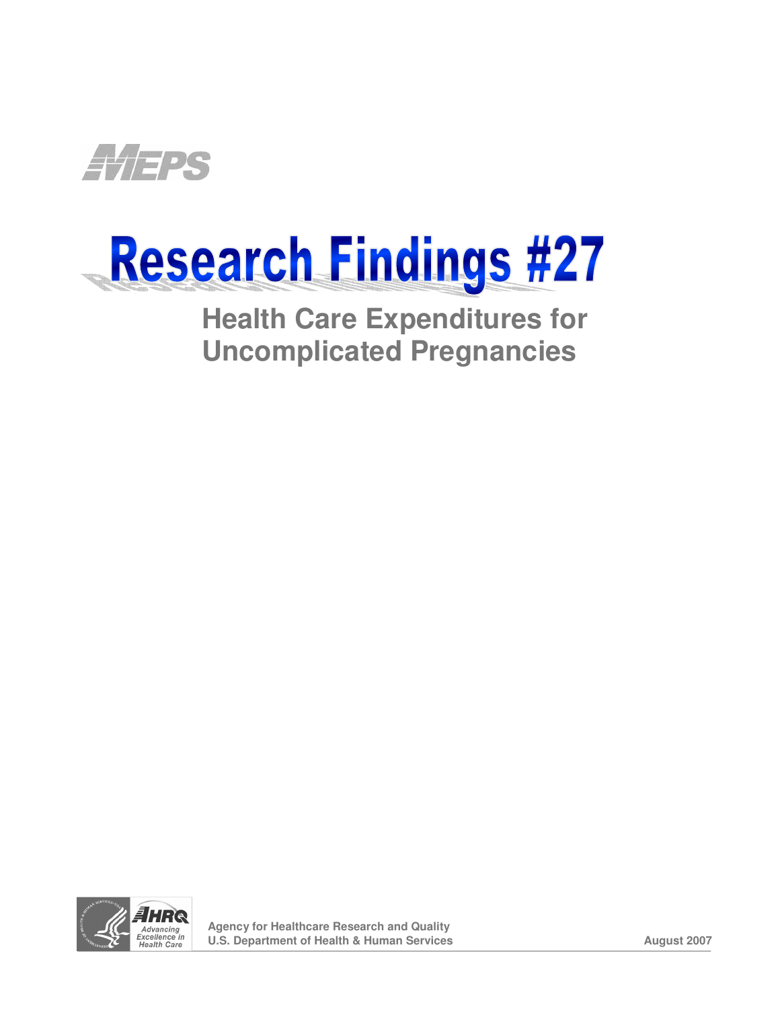

# Research Findings #27

**Health Care Expenditures for Uncomplicated Pregnancies** 

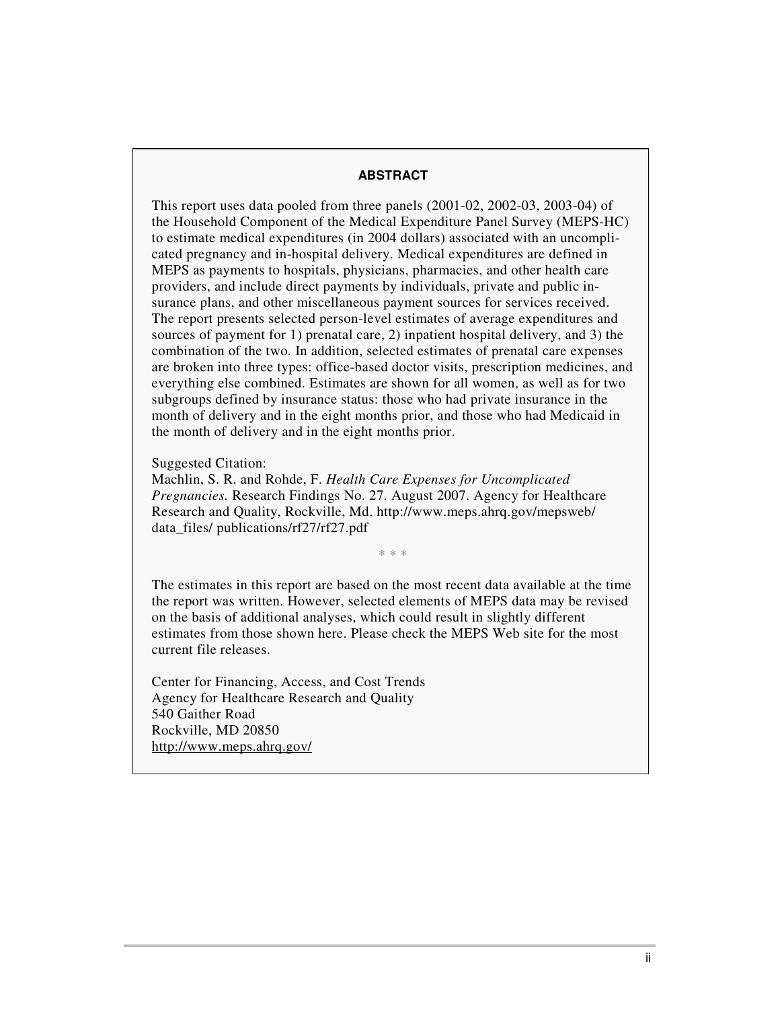#### **ABSTRACT**

This report uses data pooled from three panels (2001-02, 2002-03, 2003-04) of the Household Component of the Medical Expenditure Panel Survey (MEPS-HC) to estimate medical expenditures (in 2004 dollars) associated with an uncomplisources of payment for 1) prenatal care, 2) inpatient hospital delivery, and 3) the cated pregnancy and in-hospital delivery. Medical expenditures are defined in MEPS as payments to hospitals, physicians, pharmacies, and other health care providers, and include direct payments by individuals, private and public insurance plans, and other miscellaneous payment sources for services received. The report presents selected person-level estimates of average expenditures and combination of the two. In addition, selected estimates of prenatal care expenses are broken into three types: office-based doctor visits, prescription medicines, and everything else combined. Estimates are shown for all women, as well as for two subgroups defined by insurance status: those who had private insurance in the month of delivery and in the eight months prior, and those who had Medicaid in the month of delivery and in the eight months prior.

Suggested Citation:

Research and Quality, Rockville, Md. http://www.meps.ahrq.gov/mepsweb/ data\_files/ publications/rf27/rf27.pdf Machlin, S. R. and Rohde, F. *Health Care Expenses for Uncomplicated Pregnancies.* Research Findings No. 27. August 2007. Agency for Healthcare

 $* * *$ 

The estimates in this report are based on the most recent data available at the time the report was written. However, selected elements of MEPS data may be revised on the basis of additional analyses, which could result in slightly different estimates from those shown here. Please check the MEPS Web site for the most current file releases.

http://www.meps.ahrq.gov/ Center for Financing, Access, and Cost Trends Agency for Healthcare Research and Quality 540 Gaither Road Rockville, MD 20850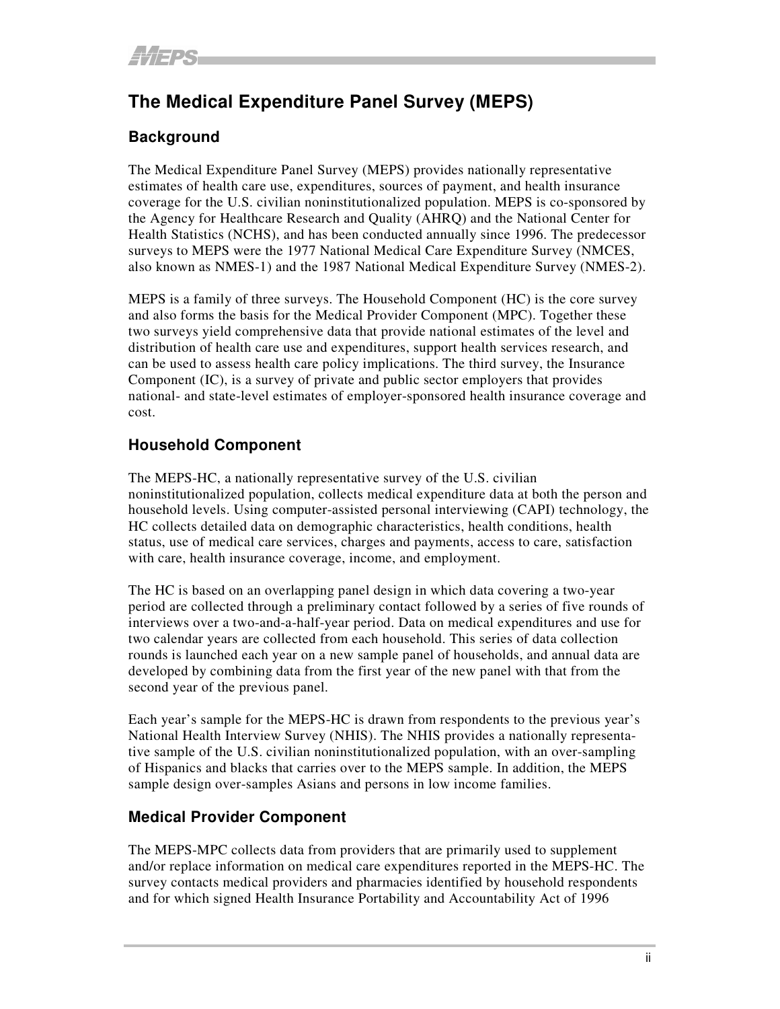## **The Medical Expenditure Panel Survey (MEPS)**

## **Background**

The Medical Expenditure Panel Survey (MEPS) provides nationally representative estimates of health care use, expenditures, sources of payment, and health insurance coverage for the U.S. civilian noninstitutionalized population. MEPS is co-sponsored by the Agency for Healthcare Research and Quality (AHRQ) and the National Center for Health Statistics (NCHS), and has been conducted annually since 1996. The predecessor surveys to MEPS were the 1977 National Medical Care Expenditure Survey (NMCES, also known as NMES-1) and the 1987 National Medical Expenditure Survey (NMES-2).

MEPS is a family of three surveys. The Household Component (HC) is the core survey and also forms the basis for the Medical Provider Component (MPC). Together these two surveys yield comprehensive data that provide national estimates of the level and distribution of health care use and expenditures, support health services research, and can be used to assess health care policy implications. The third survey, the Insurance Component (IC), is a survey of private and public sector employers that provides national- and state-level estimates of employer-sponsored health insurance coverage and cost.

## **Household Component**

The MEPS-HC, a nationally representative survey of the U.S. civilian noninstitutionalized population, collects medical expenditure data at both the person and household levels. Using computer-assisted personal interviewing (CAPI) technology, the HC collects detailed data on demographic characteristics, health conditions, health status, use of medical care services, charges and payments, access to care, satisfaction with care, health insurance coverage, income, and employment.

The HC is based on an overlapping panel design in which data covering a two-year period are collected through a preliminary contact followed by a series of five rounds of interviews over a two-and-a-half-year period. Data on medical expenditures and use for two calendar years are collected from each household. This series of data collection rounds is launched each year on a new sample panel of households, and annual data are developed by combining data from the first year of the new panel with that from the second year of the previous panel.

Each year's sample for the MEPS-HC is drawn from respondents to the previous year's National Health Interview Survey (NHIS). The NHIS provides a nationally representative sample of the U.S. civilian noninstitutionalized population, with an over-sampling of Hispanics and blacks that carries over to the MEPS sample. In addition, the MEPS sample design over-samples Asians and persons in low income families.

## **Medical Provider Component**

The MEPS-MPC collects data from providers that are primarily used to supplement and/or replace information on medical care expenditures reported in the MEPS-HC. The survey contacts medical providers and pharmacies identified by household respondents and for which signed Health Insurance Portability and Accountability Act of 1996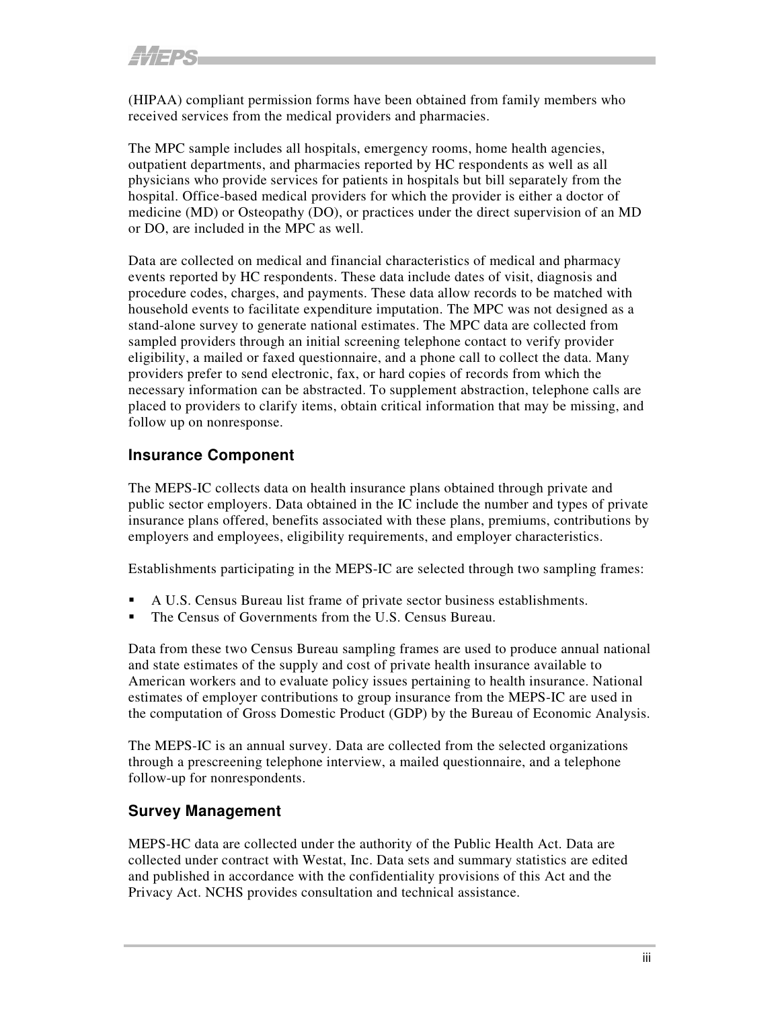(HIPAA) compliant permission forms have been obtained from family members who received services from the medical providers and pharmacies.

The MPC sample includes all hospitals, emergency rooms, home health agencies, outpatient departments, and pharmacies reported by HC respondents as well as all physicians who provide services for patients in hospitals but bill separately from the hospital. Office-based medical providers for which the provider is either a doctor of medicine (MD) or Osteopathy (DO), or practices under the direct supervision of an MD or DO, are included in the MPC as well.

Data are collected on medical and financial characteristics of medical and pharmacy events reported by HC respondents. These data include dates of visit, diagnosis and procedure codes, charges, and payments. These data allow records to be matched with household events to facilitate expenditure imputation. The MPC was not designed as a stand-alone survey to generate national estimates. The MPC data are collected from sampled providers through an initial screening telephone contact to verify provider eligibility, a mailed or faxed questionnaire, and a phone call to collect the data. Many providers prefer to send electronic, fax, or hard copies of records from which the necessary information can be abstracted. To supplement abstraction, telephone calls are placed to providers to clarify items, obtain critical information that may be missing, and follow up on nonresponse.

## **Insurance Component**

The MEPS-IC collects data on health insurance plans obtained through private and public sector employers. Data obtained in the IC include the number and types of private insurance plans offered, benefits associated with these plans, premiums, contributions by employers and employees, eligibility requirements, and employer characteristics.

Establishments participating in the MEPS-IC are selected through two sampling frames:

- ° A U.S. Census Bureau list frame of private sector business establishments.
- The Census of Governments from the U.S. Census Bureau.

Data from these two Census Bureau sampling frames are used to produce annual national and state estimates of the supply and cost of private health insurance available to American workers and to evaluate policy issues pertaining to health insurance. National estimates of employer contributions to group insurance from the MEPS-IC are used in the computation of Gross Domestic Product (GDP) by the Bureau of Economic Analysis.

The MEPS-IC is an annual survey. Data are collected from the selected organizations through a prescreening telephone interview, a mailed questionnaire, and a telephone follow-up for nonrespondents.

#### **Survey Management**

MEPS-HC data are collected under the authority of the Public Health Act. Data are collected under contract with Westat, Inc. Data sets and summary statistics are edited and published in accordance with the confidentiality provisions of this Act and the Privacy Act. NCHS provides consultation and technical assistance.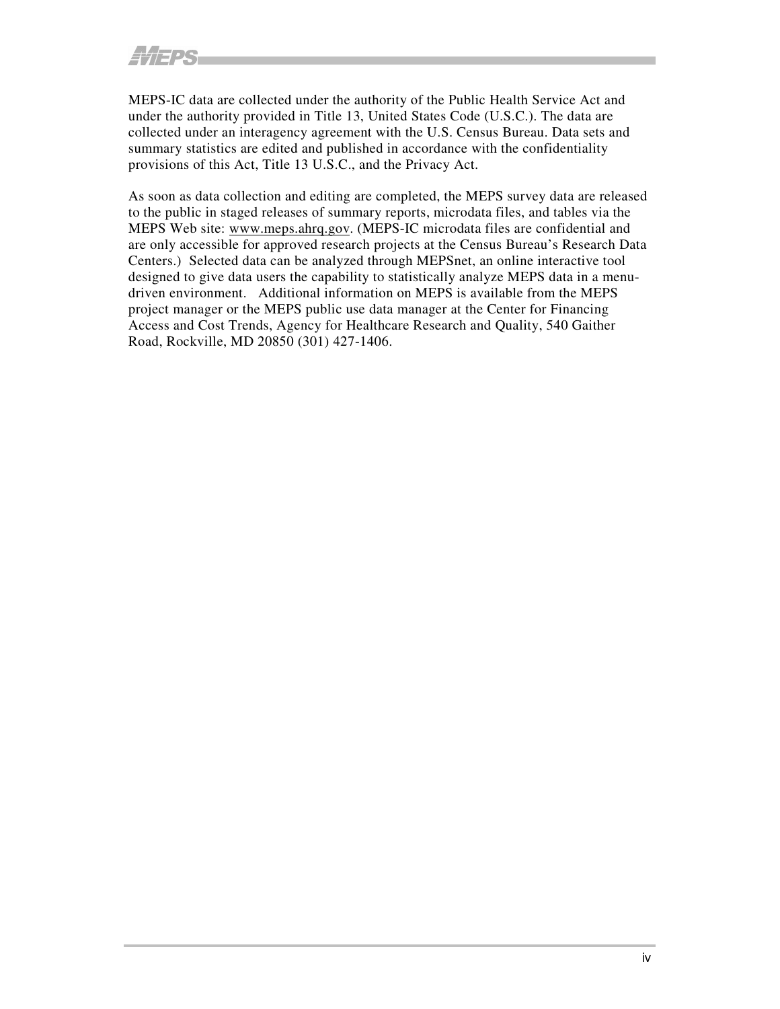MEPS-IC data are collected under the authority of the Public Health Service Act and under the authority provided in Title 13, United States Code (U.S.C.). The data are collected under an interagency agreement with the U.S. Census Bureau. Data sets and summary statistics are edited and published in accordance with the confidentiality provisions of this Act, Title 13 U.S.C., and the Privacy Act.

As soon as data collection and editing are completed, the MEPS survey data are released to the public in staged releases of summary reports, microdata files, and tables via the MEPS Web site: www.meps.ahrq.gov. (MEPS-IC microdata files are confidential and are only accessible for approved research projects at the Census Bureau's Research Data Centers.) Selected data can be analyzed through MEPSnet, an online interactive tool designed to give data users the capability to statistically analyze MEPS data in a menudriven environment. Additional information on MEPS is available from the MEPS project manager or the MEPS public use data manager at the Center for Financing Access and Cost Trends, Agency for Healthcare Research and Quality, 540 Gaither Road, Rockville, MD 20850 (301) 427-1406.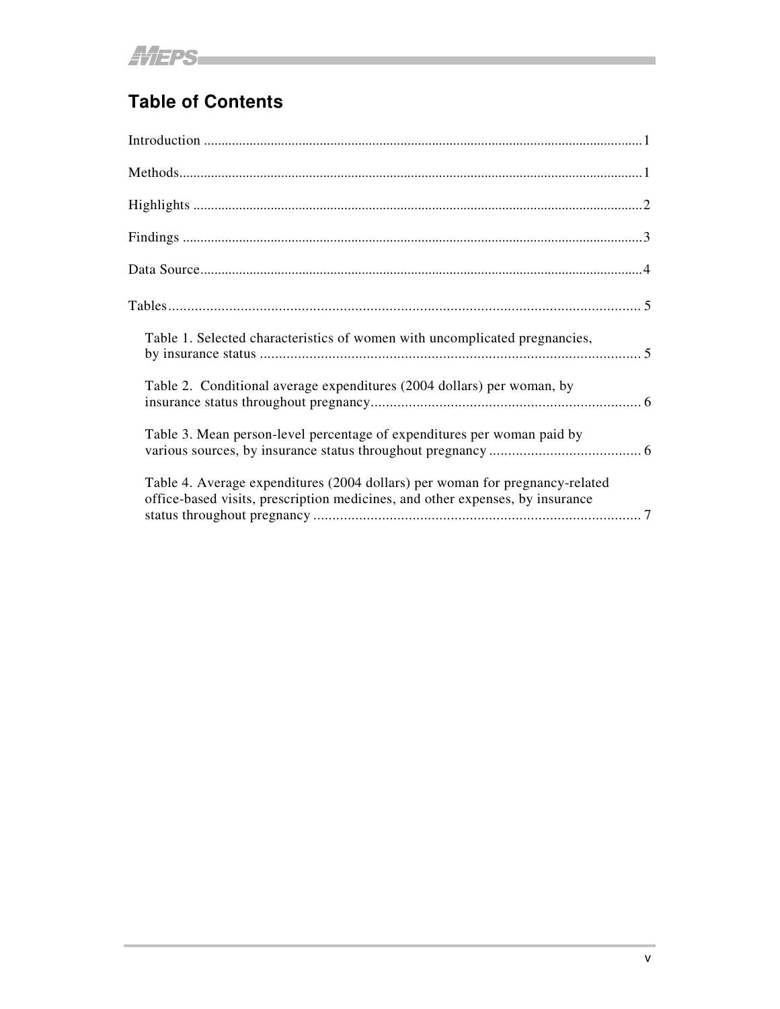# **Table of Contents**

| Table 1. Selected characteristics of women with uncomplicated pregnancies,                                                                                    |
|---------------------------------------------------------------------------------------------------------------------------------------------------------------|
| Table 2. Conditional average expenditures (2004 dollars) per woman, by                                                                                        |
| Table 3. Mean person-level percentage of expenditures per woman paid by                                                                                       |
| Table 4. Average expenditures (2004 dollars) per woman for pregnancy-related<br>office-based visits, prescription medicines, and other expenses, by insurance |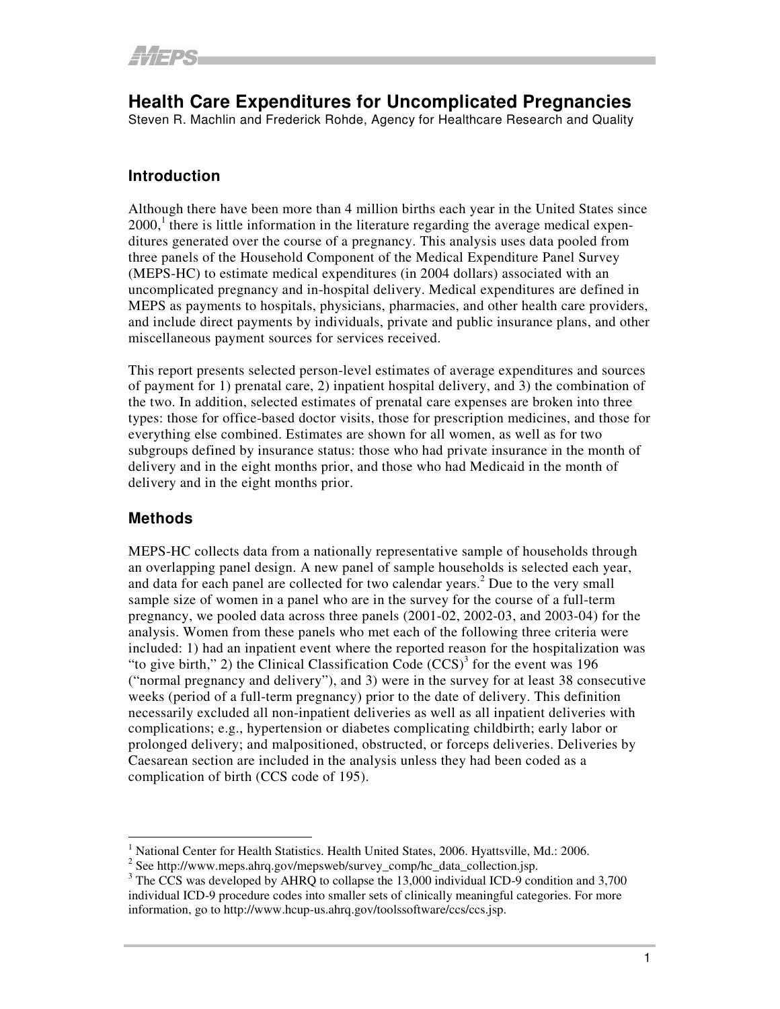**Health Care Expenditures for Uncomplicated Pregnancies** 

Steven R. Machlin and Frederick Rohde, Agency for Healthcare Research and Quality

#### **Introduction**

Although there have been more than 4 million births each year in the United States since  $2000<sup>1</sup>$ , there is little information in the literature regarding the average medical expenditures generated over the course of a pregnancy. This analysis uses data pooled from three panels of the Household Component of the Medical Expenditure Panel Survey (MEPS-HC) to estimate medical expenditures (in 2004 dollars) associated with an uncomplicated pregnancy and in-hospital delivery. Medical expenditures are defined in MEPS as payments to hospitals, physicians, pharmacies, and other health care providers, and include direct payments by individuals, private and public insurance plans, and other miscellaneous payment sources for services received.

This report presents selected person-level estimates of average expenditures and sources of payment for 1) prenatal care, 2) inpatient hospital delivery, and 3) the combination of the two. In addition, selected estimates of prenatal care expenses are broken into three types: those for office-based doctor visits, those for prescription medicines, and those for everything else combined. Estimates are shown for all women, as well as for two subgroups defined by insurance status: those who had private insurance in the month of delivery and in the eight months prior, and those who had Medicaid in the month of delivery and in the eight months prior.

## **Methods**

MEPS-HC collects data from a nationally representative sample of households through an overlapping panel design. A new panel of sample households is selected each year, and data for each panel are collected for two calendar years.2 Due to the very small sample size of women in a panel who are in the survey for the course of a full-term pregnancy, we pooled data across three panels (2001-02, 2002-03, and 2003-04) for the analysis. Women from these panels who met each of the following three criteria were included: 1) had an inpatient event where the reported reason for the hospitalization was "to give birth," 2) the Clinical Classification Code  $(CCS)^3$  for the event was 196 ("normal pregnancy and delivery"), and 3) were in the survey for at least 38 consecutive weeks (period of a full-term pregnancy) prior to the date of delivery. This definition necessarily excluded all non-inpatient deliveries as well as all inpatient deliveries with complications; e.g., hypertension or diabetes complicating childbirth; early labor or prolonged delivery; and malpositioned, obstructed, or forceps deliveries. Deliveries by Caesarean section are included in the analysis unless they had been coded as a complication of birth (CCS code of 195).

<sup>&</sup>lt;sup>1</sup> National Center for Health Statistics. Health United States, 2006. Hyattsville, Md.: 2006.

 $2^{2}$  See http://www.meps.ahrq.gov/mepsweb/survey\_comp/hc\_data\_collection.jsp.

<sup>&</sup>lt;sup>3</sup> The CCS was developed by AHRQ to collapse the 13,000 individual ICD-9 condition and 3,700 individual ICD-9 procedure codes into smaller sets of clinically meaningful categories. For more information, go to http://www.hcup-us.ahrq.gov/toolssoftware/ccs/ccs.jsp.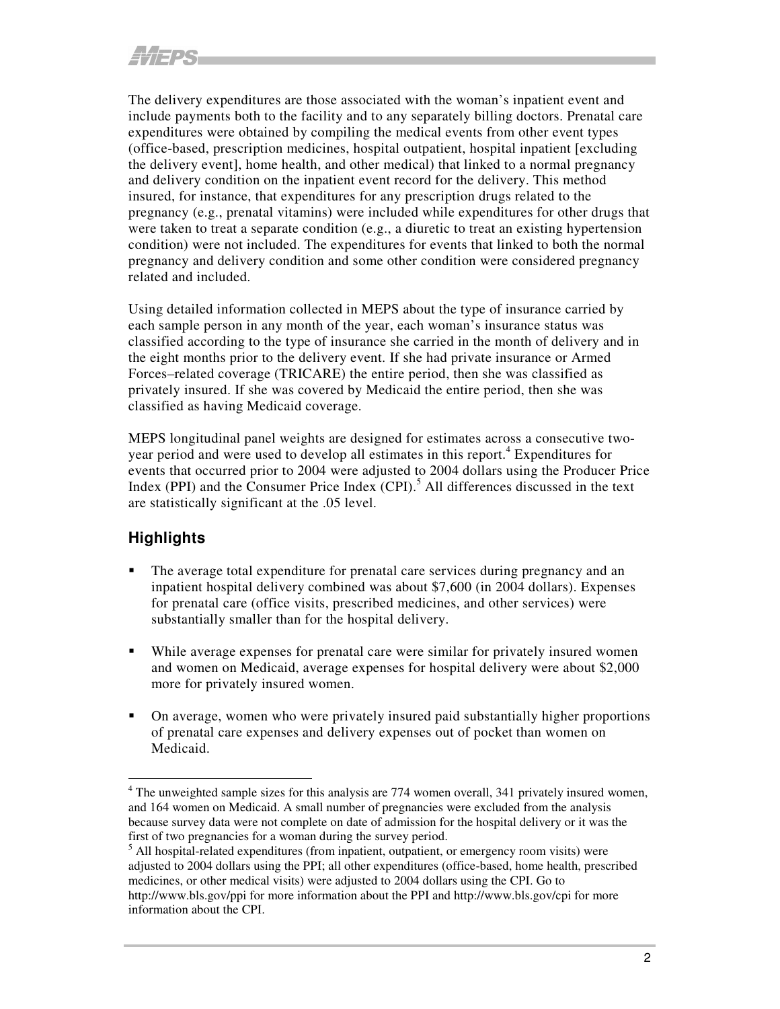The delivery expenditures are those associated with the woman's inpatient event and include payments both to the facility and to any separately billing doctors. Prenatal care expenditures were obtained by compiling the medical events from other event types (office-based, prescription medicines, hospital outpatient, hospital inpatient [excluding the delivery event], home health, and other medical) that linked to a normal pregnancy and delivery condition on the inpatient event record for the delivery. This method insured, for instance, that expenditures for any prescription drugs related to the pregnancy (e.g., prenatal vitamins) were included while expenditures for other drugs that were taken to treat a separate condition (e.g., a diuretic to treat an existing hypertension condition) were not included. The expenditures for events that linked to both the normal pregnancy and delivery condition and some other condition were considered pregnancy related and included.

Using detailed information collected in MEPS about the type of insurance carried by each sample person in any month of the year, each woman's insurance status was classified according to the type of insurance she carried in the month of delivery and in the eight months prior to the delivery event. If she had private insurance or Armed Forces–related coverage (TRICARE) the entire period, then she was classified as privately insured. If she was covered by Medicaid the entire period, then she was classified as having Medicaid coverage.

MEPS longitudinal panel weights are designed for estimates across a consecutive twoyear period and were used to develop all estimates in this report.4 Expenditures for events that occurred prior to 2004 were adjusted to 2004 dollars using the Producer Price Index (PPI) and the Consumer Price Index  $(CPI)$ .<sup>5</sup> All differences discussed in the text are statistically significant at the .05 level.

## **Highlights**

- The average total expenditure for prenatal care services during pregnancy and an inpatient hospital delivery combined was about \$7,600 (in 2004 dollars). Expenses for prenatal care (office visits, prescribed medicines, and other services) were substantially smaller than for the hospital delivery.
- While average expenses for prenatal care were similar for privately insured women and women on Medicaid, average expenses for hospital delivery were about \$2,000 more for privately insured women.
- On average, women who were privately insured paid substantially higher proportions of prenatal care expenses and delivery expenses out of pocket than women on Medicaid.

<sup>&</sup>lt;sup>4</sup> The unweighted sample sizes for this analysis are 774 women overall, 341 privately insured women, and 164 women on Medicaid. A small number of pregnancies were excluded from the analysis because survey data were not complete on date of admission for the hospital delivery or it was the first of two pregnancies for a woman during the survey period.

 $<sup>5</sup>$  All hospital-related expenditures (from inpatient, outpatient, or emergency room visits) were</sup> adjusted to 2004 dollars using the PPI; all other expenditures (office-based, home health, prescribed medicines, or other medical visits) were adjusted to 2004 dollars using the CPI. Go to http://www.bls.gov/ppi for more information about the PPI and http://www.bls.gov/cpi for more information about the CPI.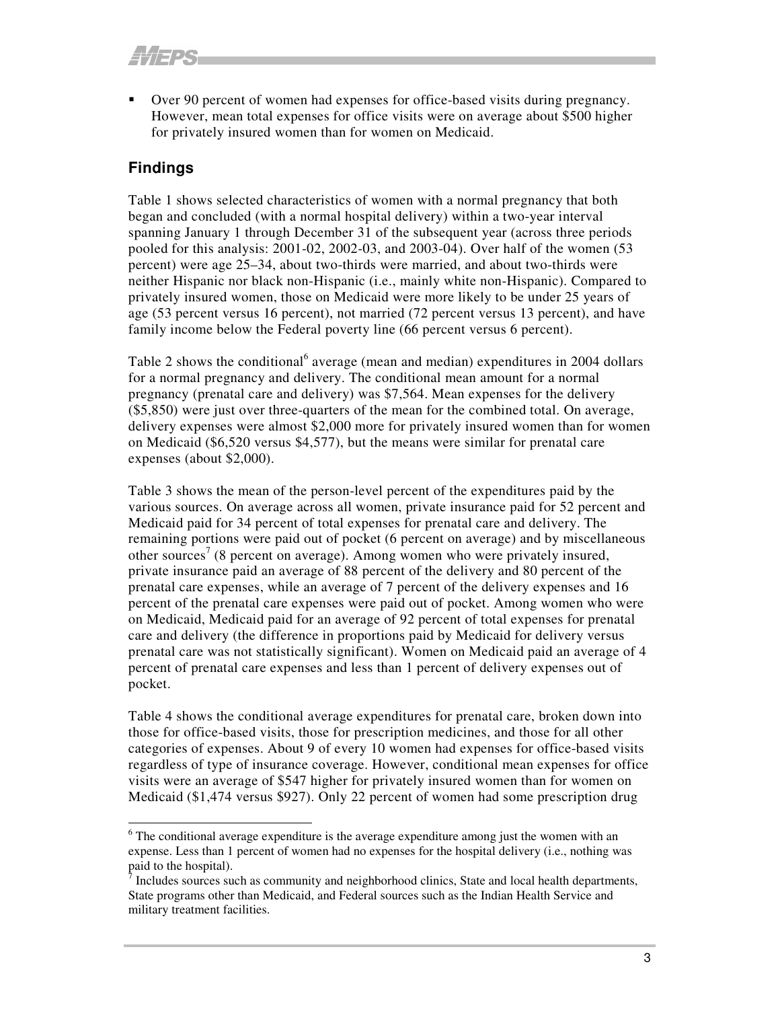• Over 90 percent of women had expenses for office-based visits during pregnancy. However, mean total expenses for office visits were on average about \$500 higher for privately insured women than for women on Medicaid.

## **Findings**

Table 1 shows selected characteristics of women with a normal pregnancy that both began and concluded (with a normal hospital delivery) within a two-year interval spanning January 1 through December 31 of the subsequent year (across three periods pooled for this analysis: 2001-02, 2002-03, and 2003-04). Over half of the women (53 percent) were age 25–34, about two-thirds were married, and about two-thirds were neither Hispanic nor black non-Hispanic (i.e., mainly white non-Hispanic). Compared to privately insured women, those on Medicaid were more likely to be under 25 years of age (53 percent versus 16 percent), not married (72 percent versus 13 percent), and have family income below the Federal poverty line (66 percent versus 6 percent).

Table 2 shows the conditional <sup>6</sup> average (mean and median) expenditures in 2004 dollars for a normal pregnancy and delivery. The conditional mean amount for a normal pregnancy (prenatal care and delivery) was \$7,564. Mean expenses for the delivery (\$5,850) were just over three-quarters of the mean for the combined total. On average, delivery expenses were almost \$2,000 more for privately insured women than for women on Medicaid (\$6,520 versus \$4,577), but the means were similar for prenatal care expenses (about \$2,000).

Table 3 shows the mean of the person-level percent of the expenditures paid by the various sources. On average across all women, private insurance paid for 52 percent and Medicaid paid for 34 percent of total expenses for prenatal care and delivery. The remaining portions were paid out of pocket (6 percent on average) and by miscellaneous other sources<sup>7</sup> (8 percent on average). Among women who were privately insured, private insurance paid an average of 88 percent of the delivery and 80 percent of the prenatal care expenses, while an average of 7 percent of the delivery expenses and 16 percent of the prenatal care expenses were paid out of pocket. Among women who were on Medicaid, Medicaid paid for an average of 92 percent of total expenses for prenatal care and delivery (the difference in proportions paid by Medicaid for delivery versus prenatal care was not statistically significant). Women on Medicaid paid an average of 4 percent of prenatal care expenses and less than 1 percent of delivery expenses out of pocket.

Table 4 shows the conditional average expenditures for prenatal care, broken down into those for office-based visits, those for prescription medicines, and those for all other categories of expenses. About 9 of every 10 women had expenses for office-based visits regardless of type of insurance coverage. However, conditional mean expenses for office visits were an average of \$547 higher for privately insured women than for women on Medicaid (\$1,474 versus \$927). Only 22 percent of women had some prescription drug

 $6$  The conditional average expenditure is the average expenditure among just the women with an expense. Less than 1 percent of women had no expenses for the hospital delivery (i.e., nothing was paid to the hospital).

Includes sources such as community and neighborhood clinics, State and local health departments, State programs other than Medicaid, and Federal sources such as the Indian Health Service and military treatment facilities.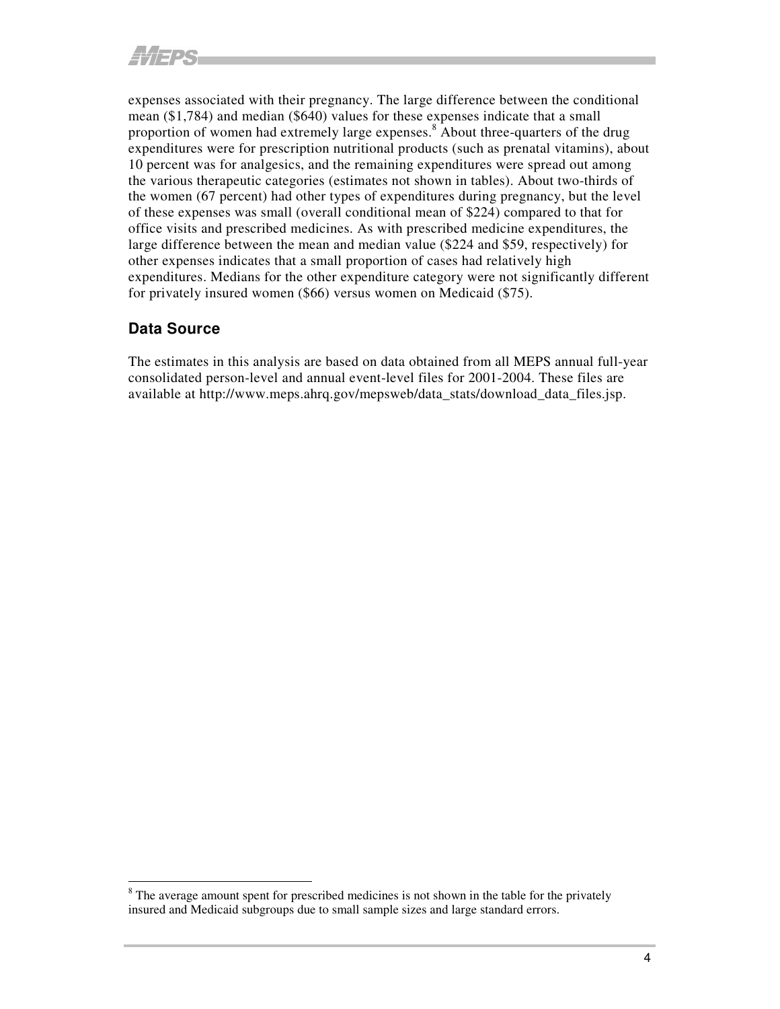expenses associated with their pregnancy. The large difference between the conditional mean (\$1,784) and median (\$640) values for these expenses indicate that a small proportion of women had extremely large expenses.<sup>8</sup> About three-quarters of the drug expenditures were for prescription nutritional products (such as prenatal vitamins), about 10 percent was for analgesics, and the remaining expenditures were spread out among the various therapeutic categories (estimates not shown in tables). About two-thirds of the women (67 percent) had other types of expenditures during pregnancy, but the level of these expenses was small (overall conditional mean of \$224) compared to that for office visits and prescribed medicines. As with prescribed medicine expenditures, the large difference between the mean and median value (\$224 and \$59, respectively) for other expenses indicates that a small proportion of cases had relatively high expenditures. Medians for the other expenditure category were not significantly different for privately insured women (\$66) versus women on Medicaid (\$75).

#### **Data Source**

The estimates in this analysis are based on data obtained from all MEPS annual full-year consolidated person-level and annual event-level files for 2001-2004. These files are available at http://www.meps.ahrq.gov/mepsweb/data\_stats/download\_data\_files.jsp.

<sup>&</sup>lt;sup>8</sup> The average amount spent for prescribed medicines is not shown in the table for the privately insured and Medicaid subgroups due to small sample sizes and large standard errors.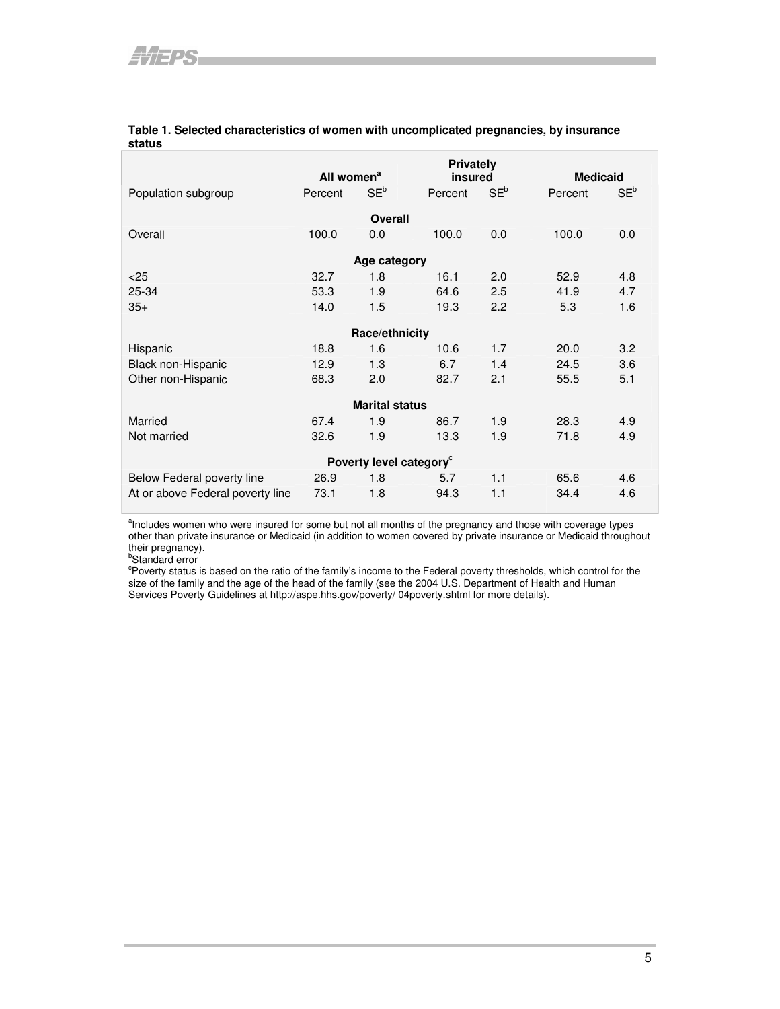|                                     | <b>Privately</b>       |                |         |                 |                 |        |  |  |  |
|-------------------------------------|------------------------|----------------|---------|-----------------|-----------------|--------|--|--|--|
|                                     | All women <sup>a</sup> |                | insured |                 | <b>Medicaid</b> |        |  |  |  |
| Population subgroup                 | Percent                | $SE^b$         | Percent | SE <sup>b</sup> | Percent         | $SE^b$ |  |  |  |
| Overall                             |                        |                |         |                 |                 |        |  |  |  |
| Overall                             | 100.0                  | 0.0            | 100.0   | 0.0             | 100.0           | 0.0    |  |  |  |
| Age category                        |                        |                |         |                 |                 |        |  |  |  |
| < 25                                | 32.7                   | 1.8            | 16.1    | 2.0             | 52.9            | 4.8    |  |  |  |
| 25-34                               | 53.3                   | 1.9            | 64.6    | 2.5             | 41.9            | 4.7    |  |  |  |
| $35+$                               | 14.0                   | 1.5            | 19.3    | 2.2             | 5.3             | 1.6    |  |  |  |
|                                     |                        | Race/ethnicity |         |                 |                 |        |  |  |  |
| Hispanic                            | 18.8                   | 1.6            | 10.6    | 1.7             | 20.0            | 3.2    |  |  |  |
| Black non-Hispanic                  | 12.9                   | 1.3            | 6.7     | 1.4             | 24.5            | 3.6    |  |  |  |
| Other non-Hispanic                  | 68.3                   | 2.0            | 82.7    | 2.1             | 55.5            | 5.1    |  |  |  |
| <b>Marital status</b>               |                        |                |         |                 |                 |        |  |  |  |
| Married                             | 67.4                   | 1.9            | 86.7    | 1.9             | 28.3            | 4.9    |  |  |  |
| Not married                         | 32.6                   | 1.9            | 13.3    | 1.9             | 71.8            | 4.9    |  |  |  |
| Poverty level category <sup>c</sup> |                        |                |         |                 |                 |        |  |  |  |
| Below Federal poverty line          | 26.9                   | 1.8            | 5.7     | 1.1             | 65.6            | 4.6    |  |  |  |
| At or above Federal poverty line    | 73.1                   | 1.8            | 94.3    | 1.1             | 34.4            | 4.6    |  |  |  |

#### **Table 1. Selected characteristics of women with uncomplicated pregnancies, by insurance status**

<sup>a</sup>Includes women who were insured for some but not all months of the pregnancy and those with coverage types other than private insurance or Medicaid (in addition to women covered by private insurance or Medicaid throughout their pregnancy).

<sup>b</sup>Standard error<br>°Poverty status is based on the ratio of the family's income to the Federal poverty thresholds, which control for the size of the family and the age of the head of the family (see the 2004 U.S. Department of Health and Human Services Poverty Guidelines at http://aspe.hhs.gov/poverty/ 04poverty.shtml for more details).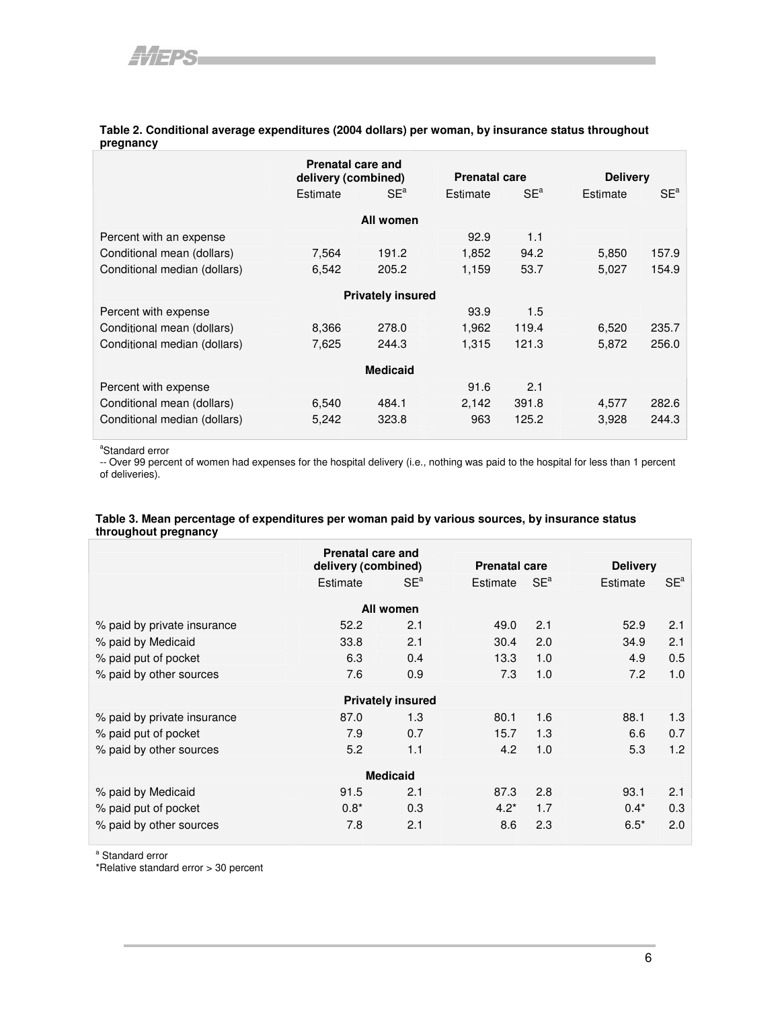#### **Table 2. Conditional average expenditures (2004 dollars) per woman, by insurance status throughout pregnancy**

|                              | <b>Prenatal care and</b><br>delivery (combined) |        |                      |                 |                 |                 |  |  |  |
|------------------------------|-------------------------------------------------|--------|----------------------|-----------------|-----------------|-----------------|--|--|--|
|                              |                                                 |        | <b>Prenatal care</b> |                 | <b>Delivery</b> |                 |  |  |  |
|                              | Estimate                                        | $SE^a$ | Estimate             | SE <sup>a</sup> | Estimate        | SE <sup>a</sup> |  |  |  |
| All women                    |                                                 |        |                      |                 |                 |                 |  |  |  |
| Percent with an expense      |                                                 |        | 92.9                 | 1.1             |                 |                 |  |  |  |
| Conditional mean (dollars)   | 7,564                                           | 191.2  | 1,852                | 94.2            | 5,850           | 157.9           |  |  |  |
| Conditional median (dollars) | 6,542                                           | 205.2  | 1,159                | 53.7            | 5,027           | 154.9           |  |  |  |
| <b>Privately insured</b>     |                                                 |        |                      |                 |                 |                 |  |  |  |
| Percent with expense         |                                                 |        | 93.9                 | 1.5             |                 |                 |  |  |  |
| Conditional mean (dollars)   | 8,366                                           | 278.0  | 1,962                | 119.4           | 6,520           | 235.7           |  |  |  |
| Conditional median (dollars) | 7,625                                           | 244.3  | 1,315                | 121.3           | 5,872           | 256.0           |  |  |  |
| <b>Medicaid</b>              |                                                 |        |                      |                 |                 |                 |  |  |  |
| Percent with expense         |                                                 |        | 91.6                 | 2.1             |                 |                 |  |  |  |
| Conditional mean (dollars)   | 6,540                                           | 484.1  | 2,142                | 391.8           | 4,577           | 282.6           |  |  |  |
| Conditional median (dollars) | 5,242                                           | 323.8  | 963                  | 125.2           | 3,928           | 244.3           |  |  |  |

<sup>a</sup>Standard error

-- Over 99 percent of women had expenses for the hospital delivery (i.e., nothing was paid to the hospital for less than 1 percent of deliveries).

#### **Table 3. Mean percentage of expenditures per woman paid by various sources, by insurance status throughout pregnancy**

|                             | Prenatal care and<br>delivery (combined) |     | <b>Prenatal care</b> |        | <b>Delivery</b> |        |  |  |  |  |
|-----------------------------|------------------------------------------|-----|----------------------|--------|-----------------|--------|--|--|--|--|
|                             | $SE^a$<br>Estimate                       |     | Estimate             | $SE^a$ | Estimate        | $SE^a$ |  |  |  |  |
| All women                   |                                          |     |                      |        |                 |        |  |  |  |  |
| % paid by private insurance | 52.2                                     | 2.1 | 49.0                 | 2.1    | 52.9            | 2.1    |  |  |  |  |
| % paid by Medicaid          | 33.8                                     | 2.1 | 30.4                 | 2.0    | 34.9            | 2.1    |  |  |  |  |
| % paid put of pocket        | 6.3                                      | 0.4 | 13.3                 | 1.0    | 4.9             | 0.5    |  |  |  |  |
| % paid by other sources     | 7.6                                      | 0.9 | 7.3                  | 1.0    | 7.2             | 1.0    |  |  |  |  |
| <b>Privately insured</b>    |                                          |     |                      |        |                 |        |  |  |  |  |
| % paid by private insurance | 87.0                                     | 1.3 | 80.1                 | 1.6    | 88.1            | 1.3    |  |  |  |  |
| % paid put of pocket        | 7.9                                      | 0.7 | 15.7                 | 1.3    | 6.6             | 0.7    |  |  |  |  |
| % paid by other sources     | 5.2                                      | 1.1 | 4.2                  | 1.0    | 5.3             | 1.2    |  |  |  |  |
| <b>Medicaid</b>             |                                          |     |                      |        |                 |        |  |  |  |  |
| % paid by Medicaid          | 91.5                                     | 2.1 | 87.3                 | 2.8    | 93.1            | 2.1    |  |  |  |  |
| % paid put of pocket        | $0.8*$                                   | 0.3 | $4.2*$               | 1.7    | $0.4*$          | 0.3    |  |  |  |  |
| % paid by other sources     | 7.8                                      | 2.1 | 8.6                  | 2.3    | $6.5*$          | 2.0    |  |  |  |  |

<sup>a</sup> Standard error

\*Relative standard error > 30 percent